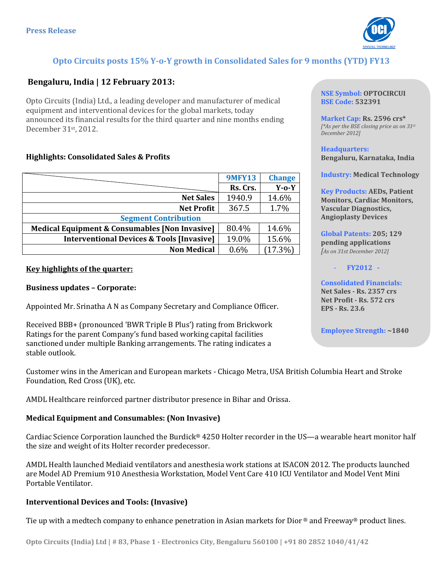

# **Opto Circuits posts 15% Y-o-Y growth in Consolidated Sales for 9 months (YTD) FY13**

## **Bengaluru, India | 12 February 2013:**

Opto Circuits (India) Ltd., a leading developer and manufacturer of medical equipment and interventional devices for the global markets, today announced its financial results for the third quarter and nine months ending December 31st, 2012.

#### **Highlights: Consolidated Sales & Profits**

|                                                           | <b>9MFY13</b> | <b>Change</b> |
|-----------------------------------------------------------|---------------|---------------|
|                                                           | Rs. Crs.      | $Y$ -0- $Y$   |
| <b>Net Sales</b>                                          | 1940.9        | 14.6%         |
| <b>Net Profit</b>                                         | 367.5         | 1.7%          |
| <b>Segment Contribution</b>                               |               |               |
| <b>Medical Equipment &amp; Consumables [Non Invasive]</b> | 80.4%         | 14.6%         |
| <b>Interventional Devices &amp; Tools [Invasive]</b>      | 19.0%         | 15.6%         |
| <b>Non Medical</b>                                        | 0.6%          | $(17.3\%)$    |

#### **Key highlights of the quarter:**

#### **Business updates – Corporate:**

Appointed Mr. Srinatha A N as Company Secretary and Compliance Officer.

Received BBB+ (pronounced 'BWR Triple B Plus') rating from Brickwork Ratings for the parent Company's fund based working capital facilities sanctioned under multiple Banking arrangements. The rating indicates a stable outlook.

Customer wins in the American and European markets - Chicago Metra, USA British Columbia Heart and Stroke Foundation, Red Cross (UK), etc.

AMDL Healthcare reinforced partner distributor presence in Bihar and Orissa.

#### **Medical Equipment and Consumables: (Non Invasive)**

Cardiac Science Corporation launched the Burdick® 4250 Holter recorder in the US—a wearable heart monitor half the size and weight of its Holter recorder predecessor.

AMDL Health launched Mediaid ventilators and anesthesia work stations at ISACON 2012. The products launched are Model AD Premium 910 Anesthesia Workstation, Model Vent Care 410 ICU Ventilator and Model Vent Mini Portable Ventilator.

#### **Interventional Devices and Tools: (Invasive)**

Tie up with a medtech company to enhance penetration in Asian markets for Dior ® and Freeway® product lines.

**BSE Code: 532391 Market Cap: Rs. 2596 crs\***

*[\*As per the BSE closing price as on 31st December 2012]*

**NSE Symbol: OPTOCIRCUI**

**Headquarters: Bengaluru, Karnataka, India**

**Industry: Medical Technology**

**Key Products: AEDs, Patient Monitors, Cardiac Monitors, Vascular Diagnostics, Angioplasty Devices**

**Global Patents: 205; 129 pending applications**  *[As on 31st December 2012]*

- **FY2012 -**

**Consolidated Financials: Net Sales - Rs. 2357 crs Net Profit - Rs. 572 crs EPS - Rs. 23.6**

**Employee Strength: ~1840**